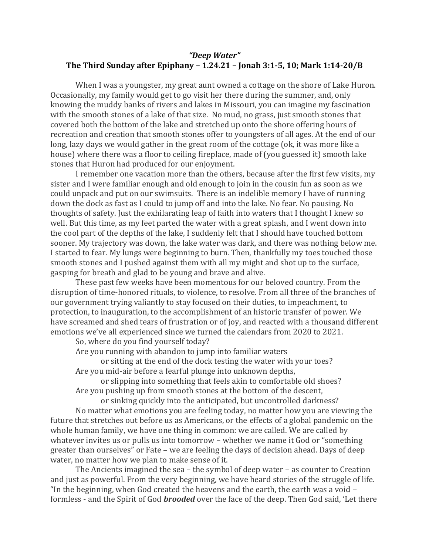## *"Deep Water"* **The Third Sunday after Epiphany – 1.24.21 – Jonah 3:1-5, 10; Mark 1:14-20/B**

When I was a youngster, my great aunt owned a cottage on the shore of Lake Huron. Occasionally, my family would get to go visit her there during the summer, and, only knowing the muddy banks of rivers and lakes in Missouri, you can imagine my fascination with the smooth stones of a lake of that size. No mud, no grass, just smooth stones that covered both the bottom of the lake and stretched up onto the shore offering hours of recreation and creation that smooth stones offer to youngsters of all ages. At the end of our long, lazy days we would gather in the great room of the cottage (ok, it was more like a house) where there was a floor to ceiling fireplace, made of (you guessed it) smooth lake stones that Huron had produced for our enjoyment.

I remember one vacation more than the others, because after the first few visits, my sister and I were familiar enough and old enough to join in the cousin fun as soon as we could unpack and put on our swimsuits. There is an indelible memory I have of running down the dock as fast as I could to jump off and into the lake. No fear. No pausing. No thoughts of safety. Just the exhilarating leap of faith into waters that I thought I knew so well. But this time, as my feet parted the water with a great splash, and I went down into the cool part of the depths of the lake, I suddenly felt that I should have touched bottom sooner. My trajectory was down, the lake water was dark, and there was nothing below me. I started to fear. My lungs were beginning to burn. Then, thankfully my toes touched those smooth stones and I pushed against them with all my might and shot up to the surface, gasping for breath and glad to be young and brave and alive.

These past few weeks have been momentous for our beloved country. From the disruption of time-honored rituals, to violence, to resolve. From all three of the branches of our government trying valiantly to stay focused on their duties, to impeachment, to protection, to inauguration, to the accomplishment of an historic transfer of power. We have screamed and shed tears of frustration or of joy, and reacted with a thousand different emotions we've all experienced since we turned the calendars from 2020 to 2021.

So, where do you find yourself today?

Are you running with abandon to jump into familiar waters

or sitting at the end of the dock testing the water with your toes? Are you mid-air before a fearful plunge into unknown depths,

or slipping into something that feels akin to comfortable old shoes? Are you pushing up from smooth stones at the bottom of the descent,

or sinking quickly into the anticipated, but uncontrolled darkness? No matter what emotions you are feeling today, no matter how you are viewing the future that stretches out before us as Americans, or the effects of a global pandemic on the whole human family, we have one thing in common: we are called. We are called by whatever invites us or pulls us into tomorrow – whether we name it God or "something greater than ourselves" or Fate – we are feeling the days of decision ahead. Days of deep water, no matter how we plan to make sense of it.

The Ancients imagined the sea – the symbol of deep water – as counter to Creation and just as powerful. From the very beginning, we have heard stories of the struggle of life. "In the beginning, when God created the heavens and the earth, the earth was a void – formless - and the Spirit of God *brooded* over the face of the deep. Then God said, 'Let there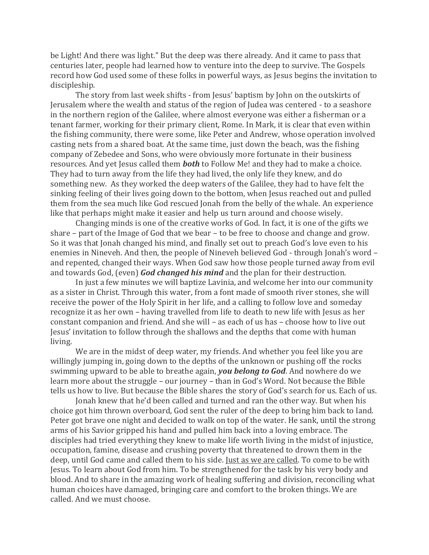be Light! And there was light." But the deep was there already. And it came to pass that centuries later, people had learned how to venture into the deep to survive. The Gospels record how God used some of these folks in powerful ways, as Jesus begins the invitation to discipleship.

The story from last week shifts - from Jesus' baptism by John on the outskirts of Jerusalem where the wealth and status of the region of Judea was centered - to a seashore in the northern region of the Galilee, where almost everyone was either a fisherman or a tenant farmer, working for their primary client, Rome. In Mark, it is clear that even within the fishing community, there were some, like Peter and Andrew, whose operation involved casting nets from a shared boat. At the same time, just down the beach, was the fishing company of Zebedee and Sons, who were obviously more fortunate in their business resources. And yet Jesus called them *both* to Follow Me! and they had to make a choice. They had to turn away from the life they had lived, the only life they knew, and do something new. As they worked the deep waters of the Galilee, they had to have felt the sinking feeling of their lives going down to the bottom, when Jesus reached out and pulled them from the sea much like God rescued Jonah from the belly of the whale. An experience like that perhaps might make it easier and help us turn around and choose wisely.

Changing minds is one of the creative works of God. In fact, it is one of the gifts we share – part of the Image of God that we bear – to be free to choose and change and grow. So it was that Jonah changed his mind, and finally set out to preach God's love even to his enemies in Nineveh. And then, the people of Nineveh believed God - through Jonah's word – and repented, changed their ways. When God saw how those people turned away from evil and towards God, (even) *God changed his mind* and the plan for their destruction.

In just a few minutes we will baptize Lavinia, and welcome her into our community as a sister in Christ. Through this water, from a font made of smooth river stones, she will receive the power of the Holy Spirit in her life, and a calling to follow love and someday recognize it as her own – having travelled from life to death to new life with Jesus as her constant companion and friend. And she will – as each of us has – choose how to live out Jesus' invitation to follow through the shallows and the depths that come with human living.

We are in the midst of deep water, my friends. And whether you feel like you are willingly jumping in, going down to the depths of the unknown or pushing off the rocks swimming upward to be able to breathe again, *you belong to God*. And nowhere do we learn more about the struggle – our journey – than in God's Word. Not because the Bible tells us how to live. But because the Bible shares the story of God's search for us. Each of us.

Jonah knew that he'd been called and turned and ran the other way. But when his choice got him thrown overboard, God sent the ruler of the deep to bring him back to land. Peter got brave one night and decided to walk on top of the water. He sank, until the strong arms of his Savior gripped his hand and pulled him back into a loving embrace. The disciples had tried everything they knew to make life worth living in the midst of injustice, occupation, famine, disease and crushing poverty that threatened to drown them in the deep, until God came and called them to his side. Just as we are called. To come to be with Jesus. To learn about God from him. To be strengthened for the task by his very body and blood. And to share in the amazing work of healing suffering and division, reconciling what human choices have damaged, bringing care and comfort to the broken things. We are called. And we must choose.